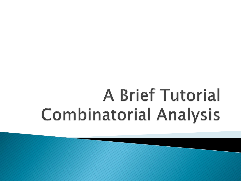# **A Brief Tutorial Combinatorial Analysis**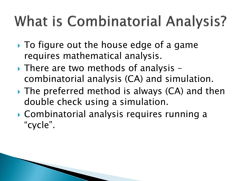# **What is Combinatorial Analysis?**

- ▶ To figure out the house edge of a game requires mathematical analysis.
- ▶ There are two methods of analysis combinatorial analysis (CA) and simulation.
- ▶ The preferred method is always (CA) and then double check using a simulation.
- Combinatorial analysis requires running a "cycle".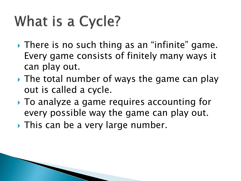## What is a Cycle?

- ▶ There is no such thing as an "infinite" game. Every game consists of finitely many ways it can play out.
- If The total number of ways the game can play out is called a cycle.
- To analyze a game requires accounting for every possible way the game can play out.
- **This can be a very large number.**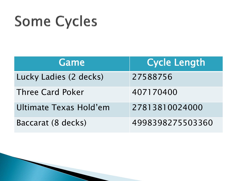## **Some Cycles**

| Game                    | <b>Cycle Length</b> |
|-------------------------|---------------------|
| Lucky Ladies (2 decks)  | 27588756            |
| <b>Three Card Poker</b> | 407170400           |
| Ultimate Texas Hold'em  | 27813810024000      |
| Baccarat (8 decks)      | 4998398275503360    |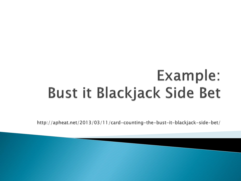### Example: **Bust it Blackjack Side Bet**

http://apheat.net/2013/03/11/card-counting-the-bust-it-blackjack-side-bet/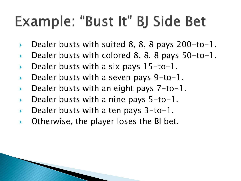### Example: "Bust It" BJ Side Bet

- Dealer busts with suited 8, 8, 8 pays 200-to-1.
- Dealer busts with colored 8, 8, 8 pays 50-to-1.
- Dealer busts with a six pays 15-to-1.
- Dealer busts with a seven pays 9-to-1.
- Dealer busts with an eight pays 7-to-1.
- Dealer busts with a nine pays 5-to-1.
- Dealer busts with a ten pays 3-to-1.
- Otherwise, the player loses the BI bet.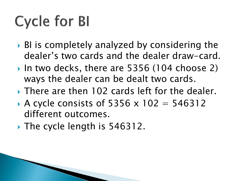# **Cycle for BI**

- ▶ BI is completely analyzed by considering the dealer's two cards and the dealer draw-card.
- In two decks, there are 5356 (104 choose 2) ways the dealer can be dealt two cards.
- **There are then 102 cards left for the dealer.**
- A cycle consists of 5356  $\times$  102 = 546312 different outcomes.
- ▶ The cycle length is 546312.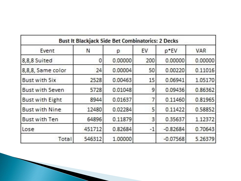| Event                  | N      | р       | EV   | p*EV       | VAR     |
|------------------------|--------|---------|------|------------|---------|
| 8,8,8 Suited           | 0      | 0.00000 | 200  | 0.00000    | 0.00000 |
| 8,8,8, Same color      | 24     | 0.00004 | 50   | 0.00220    | 0.11016 |
| <b>Bust with Six</b>   | 2528   | 0.00463 | 15   | 0.06941    | 1.05170 |
| Bust with Seven        | 5728   | 0.01048 | 9    | 0.09436    | 0.86362 |
| <b>Bust with Eight</b> | 8944   | 0.01637 |      | 0.11460    | 0.81965 |
| <b>Bust with Nine</b>  | 12480  | 0.02284 | 5    | 0.11422    | 0.58852 |
| Bust with Ten          | 64896  | 0.11879 | 3    | 0.35637    | 1.12372 |
| Lose                   | 451712 | 0.82684 | $-1$ | $-0.82684$ | 0.70643 |
| Total                  | 546312 | 1.00000 |      | $-0.07568$ | 5.26379 |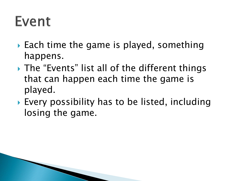### Event

- ▶ Each time the game is played, something happens.
- ▶ The "Events" list all of the different things that can happen each time the game is played.
- ▶ Every possibility has to be listed, including losing the game.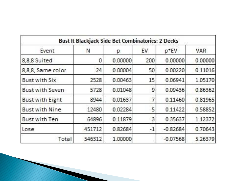| Event                  | N      | р       | EV   | p*EV       | VAR     |
|------------------------|--------|---------|------|------------|---------|
| 8,8,8 Suited           | 0      | 0.00000 | 200  | 0.00000    | 0.00000 |
| 8,8,8, Same color      | 24     | 0.00004 | 50   | 0.00220    | 0.11016 |
| <b>Bust with Six</b>   | 2528   | 0.00463 | 15   | 0.06941    | 1.05170 |
| Bust with Seven        | 5728   | 0.01048 | 9    | 0.09436    | 0.86362 |
| <b>Bust with Eight</b> | 8944   | 0.01637 |      | 0.11460    | 0.81965 |
| <b>Bust with Nine</b>  | 12480  | 0.02284 | 5    | 0.11422    | 0.58852 |
| Bust with Ten          | 64896  | 0.11879 | 3    | 0.35637    | 1.12372 |
| Lose                   | 451712 | 0.82684 | $-1$ | $-0.82684$ | 0.70643 |
| Total                  | 546312 | 1.00000 |      | $-0.07568$ | 5.26379 |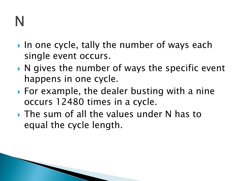- In one cycle, tally the number of ways each single event occurs.
- $\triangleright$  N gives the number of ways the specific event happens in one cycle.
- ▶ For example, the dealer busting with a nine occurs 12480 times in a cycle.
- ▶ The sum of all the values under N has to equal the cycle length.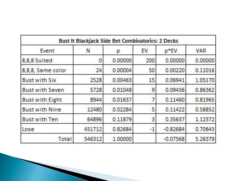| Event                  | N      | р       | EV   | p*EV       | VAR     |
|------------------------|--------|---------|------|------------|---------|
| 8,8,8 Suited           | 0      | 0.00000 | 200  | 0.00000    | 0.00000 |
| 8,8,8, Same color      | 24     | 0.00004 | 50   | 0.00220    | 0.11016 |
| <b>Bust with Six</b>   | 2528   | 0.00463 | 15   | 0.06941    | 1.05170 |
| Bust with Seven        | 5728   | 0.01048 | 9    | 0.09436    | 0.86362 |
| <b>Bust with Eight</b> | 8944   | 0.01637 |      | 0.11460    | 0.81965 |
| <b>Bust with Nine</b>  | 12480  | 0.02284 | 5    | 0.11422    | 0.58852 |
| Bust with Ten          | 64896  | 0.11879 | 3    | 0.35637    | 1.12372 |
| Lose                   | 451712 | 0.82684 | $-1$ | $-0.82684$ | 0.70643 |
| Total                  | 546312 | 1.00000 |      | $-0.07568$ | 5.26379 |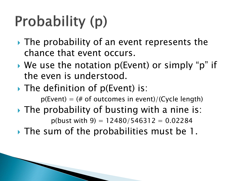# Probability (p)

- ▸ The probability of an event represents the chance that event occurs.
- ▶ We use the notation p(Event) or simply "p" if the even is understood.
- The definition of p(Event) is:

 $p(Event) = # of outcomes in event)/(Cycle length)$ 

 $\triangleright$  The probability of busting with a nine is:

 $p(blust with 9) = 12480/546312 = 0.02284$ 

▶ The sum of the probabilities must be 1.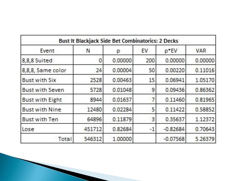| Event                  | N      | р       | EV   | p*EV       | VAR     |
|------------------------|--------|---------|------|------------|---------|
| 8,8,8 Suited           | 0      | 0.00000 | 200  | 0.00000    | 0.00000 |
| 8,8,8, Same color      | 24     | 0.00004 | 50   | 0.00220    | 0.11016 |
| <b>Bust with Six</b>   | 2528   | 0.00463 | 15   | 0.06941    | 1.05170 |
| Bust with Seven        | 5728   | 0.01048 | 9    | 0.09436    | 0.86362 |
| <b>Bust with Eight</b> | 8944   | 0.01637 |      | 0.11460    | 0.81965 |
| <b>Bust with Nine</b>  | 12480  | 0.02284 | 5    | 0.11422    | 0.58852 |
| Bust with Ten          | 64896  | 0.11879 | 3    | 0.35637    | 1.12372 |
| Lose                   | 451712 | 0.82684 | $-1$ | $-0.82684$ | 0.70643 |
| Total                  | 546312 | 1.00000 |      | $-0.07568$ | 5.26379 |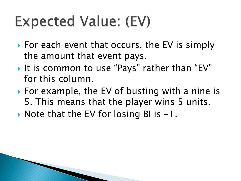## **Expected Value: (EV)**

- ▶ For each event that occurs, the EV is simply the amount that event pays.
- It is common to use "Pays" rather than "EV" for this column.
- For example, the EV of busting with a nine is 5. This means that the player wins 5 units.
- $\triangleright$  Note that the EV for losing BI is  $-1$ .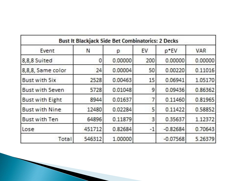| Event                  | N      | р       | EV   | p*EV       | VAR     |
|------------------------|--------|---------|------|------------|---------|
| 8,8,8 Suited           | 0      | 0.00000 | 200  | 0.00000    | 0.00000 |
| 8,8,8, Same color      | 24     | 0.00004 | 50   | 0.00220    | 0.11016 |
| <b>Bust with Six</b>   | 2528   | 0.00463 | 15   | 0.06941    | 1.05170 |
| Bust with Seven        | 5728   | 0.01048 | 9    | 0.09436    | 0.86362 |
| <b>Bust with Eight</b> | 8944   | 0.01637 |      | 0.11460    | 0.81965 |
| <b>Bust with Nine</b>  | 12480  | 0.02284 | 5    | 0.11422    | 0.58852 |
| Bust with Ten          | 64896  | 0.11879 | 3    | 0.35637    | 1.12372 |
| Lose                   | 451712 | 0.82684 | $-1$ | $-0.82684$ | 0.70643 |
| Total                  | 546312 | 1.00000 |      | $-0.07568$ | 5.26379 |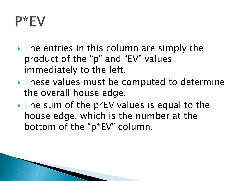### P\*EV

- $\rightarrow$  The entries in this column are simply the product of the "p" and "EV" values immediately to the left.
- ▶ These values must be computed to determine the overall house edge.
- $\rightarrow$  The sum of the p\*EV values is equal to the house edge, which is the number at the bottom of the "p\*EV" column.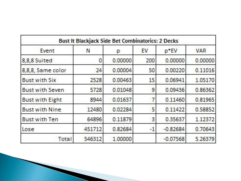| Event                  | N      | р       | EV   | p*EV       | VAR     |
|------------------------|--------|---------|------|------------|---------|
| 8,8,8 Suited           | 0      | 0.00000 | 200  | 0.00000    | 0.00000 |
| 8,8,8, Same color      | 24     | 0.00004 | 50   | 0.00220    | 0.11016 |
| <b>Bust with Six</b>   | 2528   | 0.00463 | 15   | 0.06941    | 1.05170 |
| Bust with Seven        | 5728   | 0.01048 | 9    | 0.09436    | 0.86362 |
| <b>Bust with Eight</b> | 8944   | 0.01637 |      | 0.11460    | 0.81965 |
| <b>Bust with Nine</b>  | 12480  | 0.02284 | 5    | 0.11422    | 0.58852 |
| Bust with Ten          | 64896  | 0.11879 | 3    | 0.35637    | 1.12372 |
| Lose                   | 451712 | 0.82684 | $-1$ | $-0.82684$ | 0.70643 |
| Total                  | 546312 | 1.00000 |      | $-0.07568$ | 5.26379 |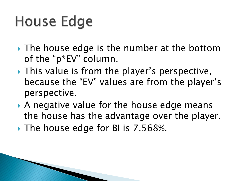## **House Edge**

- ▸ The house edge is the number at the bottom of the "p\*EV" column.
- ▶ This value is from the player's perspective, because the "EV" values are from the player's perspective.
- A negative value for the house edge means the house has the advantage over the player.
- The house edge for BI is 7.568%.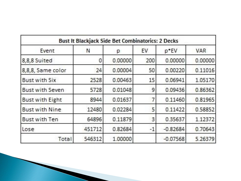| Event                  | N      | р       | EV   | p*EV       | VAR     |
|------------------------|--------|---------|------|------------|---------|
| 8,8,8 Suited           | 0      | 0.00000 | 200  | 0.00000    | 0.00000 |
| 8,8,8, Same color      | 24     | 0.00004 | 50   | 0.00220    | 0.11016 |
| <b>Bust with Six</b>   | 2528   | 0.00463 | 15   | 0.06941    | 1.05170 |
| Bust with Seven        | 5728   | 0.01048 | 9    | 0.09436    | 0.86362 |
| <b>Bust with Eight</b> | 8944   | 0.01637 |      | 0.11460    | 0.81965 |
| <b>Bust with Nine</b>  | 12480  | 0.02284 | 5    | 0.11422    | 0.58852 |
| Bust with Ten          | 64896  | 0.11879 | 3    | 0.35637    | 1.12372 |
| Lose                   | 451712 | 0.82684 | $-1$ | $-0.82684$ | 0.70643 |
| Total                  | 546312 | 1.00000 |      | $-0.07568$ | 5.26379 |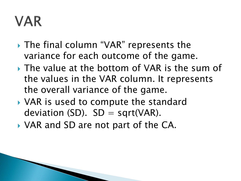### **VAR**

- ▶ The final column "VAR" represents the variance for each outcome of the game.
- The value at the bottom of VAR is the sum of the values in the VAR column. It represents the overall variance of the game.
- ▶ VAR is used to compute the standard deviation (SD).  $SD = sqrt(VAR)$ .
- ▶ VAR and SD are not part of the CA.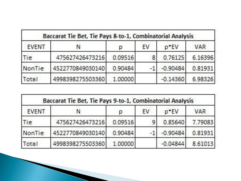| <b>EVENT</b> |                  | р       | EV | p*EV       | VAR     |
|--------------|------------------|---------|----|------------|---------|
| Гiе          | 475627426473216  | 0.09516 | 8  | 0.76125    | 6.16396 |
| NonTie       | 4522770849030140 | 0.90484 |    | $-0.90484$ | 0.81931 |
| Total        | 4998398275503360 | 1.00000 |    | $-0.14360$ | 6.98326 |

| <b>EVENT</b> | Ν                | р       | EV | p*EV       | VAR     |
|--------------|------------------|---------|----|------------|---------|
| Tie          | 475627426473216  | 0.09516 | 9  | 0.85640    | 7.79083 |
| NonTie       | 4522770849030140 | 0.90484 |    | $-0.90484$ | 0.81931 |
| otal         | 4998398275503360 | 1.00000 |    | $-0.04844$ | 8.61013 |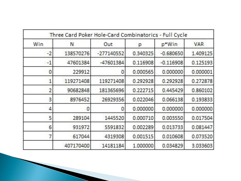| Win  | Ν         | Out          | р        | p*Win       | VAR      |
|------|-----------|--------------|----------|-------------|----------|
| $-2$ | 138570276 | $-277140552$ | 0.340325 | $-0.680650$ | 1.409125 |
| $-1$ | 47601384  | $-47601384$  | 0.116908 | $-0.116908$ | 0.125193 |
| 0    | 229912    |              | 0.000565 | 0.000000    | 0.000001 |
|      | 119271408 | 119271408    | 0.292928 | 0.292928    | 0.272878 |
| 2    | 90682848  | 181365696    | 0.222715 | 0.445429    | 0.860102 |
| 3    | 8976452   | 26929356     | 0.022046 | 0.066138    | 0.193833 |
| 4    |           |              | 0.000000 | 0.000000    | 0.000000 |
| 5    | 289104    | 1445520      | 0.000710 | 0.003550    | 0.017504 |
| 6    | 931972    | 5591832      | 0.002289 | 0.013733    | 0.081447 |
|      | 617044    | 4319308      | 0.001515 | 0.010608    | 0.073520 |
|      | 407170400 | 14181184     | 1.000000 | 0.034829    | 3.033603 |